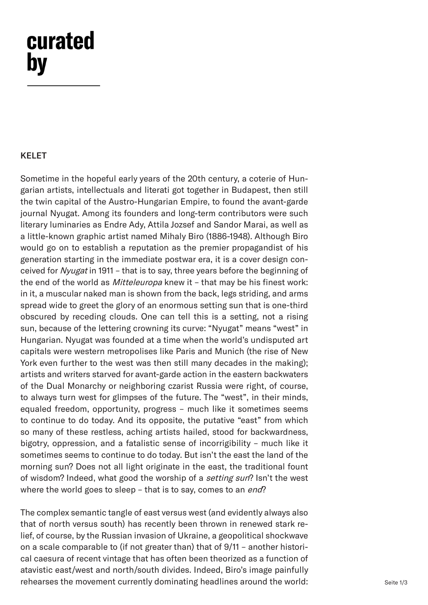## curated by

## KELET

Sometime in the hopeful early years of the 20th century, a coterie of Hungarian artists, intellectuals and literati got together in Budapest, then still the twin capital of the Austro-Hungarian Empire, to found the avant-garde journal Nyugat. Among its founders and long-term contributors were such literary luminaries as Endre Ady, Attila Jozsef and Sandor Marai, as well as a little-known graphic artist named Mihaly Biro (1886-1948). Although Biro would go on to establish a reputation as the premier propagandist of his generation starting in the immediate postwar era, it is a cover design conceived for Nyugat in 1911 - that is to say, three years before the beginning of the end of the world as *Mitteleuropa* knew it - that may be his finest work: in it, a muscular naked man is shown from the back, legs striding, and arms spread wide to greet the glory of an enormous setting sun that is one-third obscured by receding clouds. One can tell this is a setting, not a rising sun, because of the lettering crowning its curve: "Nyugat" means "west" in Hungarian. Nyugat was founded at a time when the world's undisputed art capitals were western metropolises like Paris and Munich (the rise of New York even further to the west was then still many decades in the making); artists and writers starved for avant-garde action in the eastern backwaters of the Dual Monarchy or neighboring czarist Russia were right, of course, to always turn west for glimpses of the future. The "west", in their minds, equaled freedom, opportunity, progress – much like it sometimes seems to continue to do today. And its opposite, the putative "east" from which so many of these restless, aching artists hailed, stood for backwardness, bigotry, oppression, and a fatalistic sense of incorrigibility – much like it sometimes seems to continue to do today. But isn't the east the land of the morning sun? Does not all light originate in the east, the traditional fount of wisdom? Indeed, what good the worship of a *setting sun*? Isn't the west where the world goes to sleep – that is to say, comes to an *end*?

The complex semantic tangle of east versus west (and evidently always also that of north versus south) has recently been thrown in renewed stark relief, of course, by the Russian invasion of Ukraine, a geopolitical shockwave on a scale comparable to (if not greater than) that of 9/11 – another historical caesura of recent vintage that has often been theorized as a function of atavistic east/west and north/south divides. Indeed, Biro's image painfully rehearses the movement currently dominating headlines around the world: Seite 1/3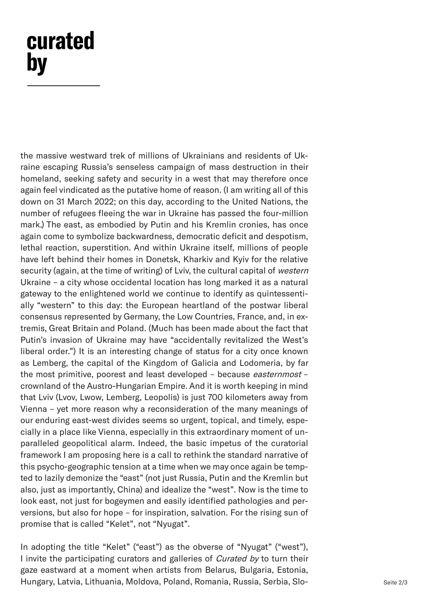## curated by

the massive westward trek of millions of Ukrainians and residents of Ukraine escaping Russia's senseless campaign of mass destruction in their homeland, seeking safety and security in a west that may therefore once again feel vindicated as the putative home of reason. (I am writing all of this down on 31 March 2022; on this day, according to the United Nations, the number of refugees fleeing the war in Ukraine has passed the four-million mark.) The east, as embodied by Putin and his Kremlin cronies, has once again come to symbolize backwardness, democratic deficit and despotism, lethal reaction, superstition. And within Ukraine itself, millions of people have left behind their homes in Donetsk, Kharkiv and Kyiv for the relative security (again, at the time of writing) of Lviv, the cultural capital of western Ukraine – a city whose occidental location has long marked it as a natural gateway to the enlightened world we continue to identify as quintessentially "western" to this day: the European heartland of the postwar liberal consensus represented by Germany, the Low Countries, France, and, in extremis, Great Britain and Poland. (Much has been made about the fact that Putin's invasion of Ukraine may have "accidentally revitalized the West's liberal order.") It is an interesting change of status for a city once known as Lemberg, the capital of the Kingdom of Galicia and Lodomeria, by far the most primitive, poorest and least developed - because easternmost crownland of the Austro-Hungarian Empire. And it is worth keeping in mind that Lviv (Lvov, Lwow, Lemberg, Leopolis) is just 700 kilometers away from Vienna – yet more reason why a reconsideration of the many meanings of our enduring east-west divides seems so urgent, topical, and timely, especially in a place like Vienna, especially in this extraordinary moment of unparalleled geopolitical alarm. Indeed, the basic impetus of the curatorial framework I am proposing here is a call to rethink the standard narrative of this psycho-geographic tension at a time when we may once again be tempted to lazily demonize the "east" (not just Russia, Putin and the Kremlin but also, just as importantly, China) and idealize the "west". Now is the time to look east, not just for bogeymen and easily identified pathologies and perversions, but also for hope – for inspiration, salvation. For the rising sun of promise that is called "Kelet", not "Nyugat".

In adopting the title "Kelet" ("east") as the obverse of "Nyugat" ("west"), I invite the participating curators and galleries of *Curated by* to turn their gaze eastward at a moment when artists from Belarus, Bulgaria, Estonia, Hungary, Latvia, Lithuania, Moldova, Poland, Romania, Russia, Serbia, Slo-